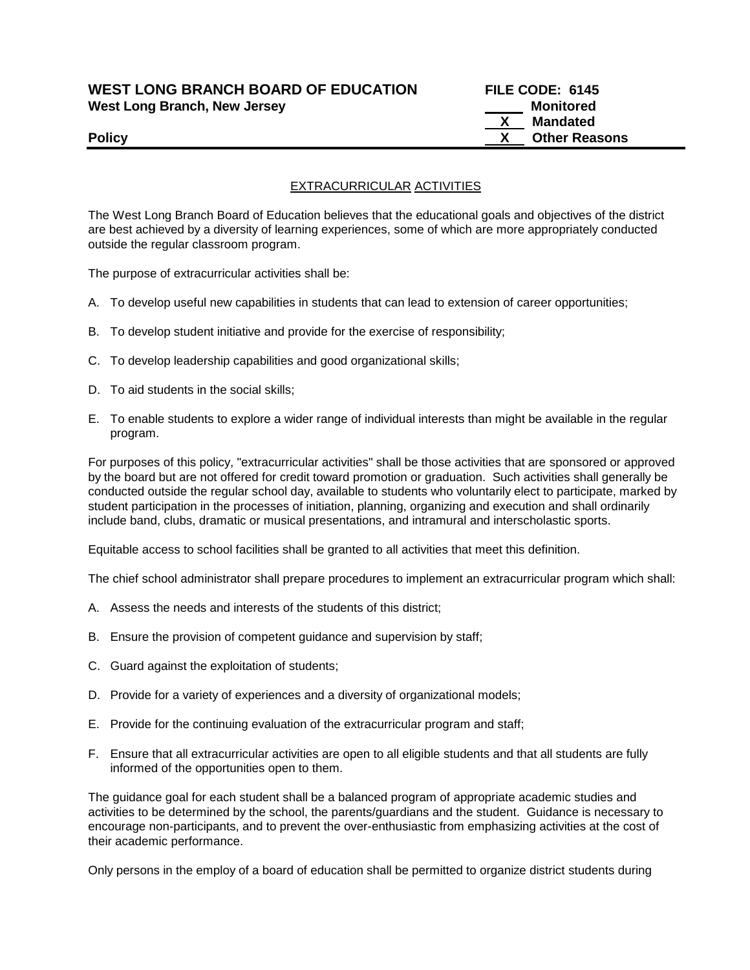# **WEST LONG BRANCH BOARD OF EDUCATION FILE CODE: 6145 West Long Branch, New Jersey Monitored West Long Branch, New Jersey Monitored**

**Mandated Policy CONSERVING CONSERVANCE CONSERVANCE CONSERVANCE CONSERVANCE CONSERVANCE CONSERVANCE CONSERVANCE CONSERVANCE CONSERVANCE CONSERVANCE CONSERVANCE CONSERVANCE CONSERVANCE CONSERVANCE CONSERVANCE CONSERVANCE CONSERVAN** 

# EXTRACURRICULAR ACTIVITIES

The West Long Branch Board of Education believes that the educational goals and objectives of the district are best achieved by a diversity of learning experiences, some of which are more appropriately conducted outside the regular classroom program.

The purpose of extracurricular activities shall be:

- A. To develop useful new capabilities in students that can lead to extension of career opportunities;
- B. To develop student initiative and provide for the exercise of responsibility;
- C. To develop leadership capabilities and good organizational skills;
- D. To aid students in the social skills;
- E. To enable students to explore a wider range of individual interests than might be available in the regular program.

For purposes of this policy, "extracurricular activities" shall be those activities that are sponsored or approved by the board but are not offered for credit toward promotion or graduation. Such activities shall generally be conducted outside the regular school day, available to students who voluntarily elect to participate, marked by student participation in the processes of initiation, planning, organizing and execution and shall ordinarily include band, clubs, dramatic or musical presentations, and intramural and interscholastic sports.

Equitable access to school facilities shall be granted to all activities that meet this definition.

The chief school administrator shall prepare procedures to implement an extracurricular program which shall:

- A. Assess the needs and interests of the students of this district;
- B. Ensure the provision of competent guidance and supervision by staff;
- C. Guard against the exploitation of students;
- D. Provide for a variety of experiences and a diversity of organizational models;
- E. Provide for the continuing evaluation of the extracurricular program and staff;
- F. Ensure that all extracurricular activities are open to all eligible students and that all students are fully informed of the opportunities open to them.

The guidance goal for each student shall be a balanced program of appropriate academic studies and activities to be determined by the school, the parents/guardians and the student. Guidance is necessary to encourage non-participants, and to prevent the over-enthusiastic from emphasizing activities at the cost of their academic performance.

Only persons in the employ of a board of education shall be permitted to organize district students during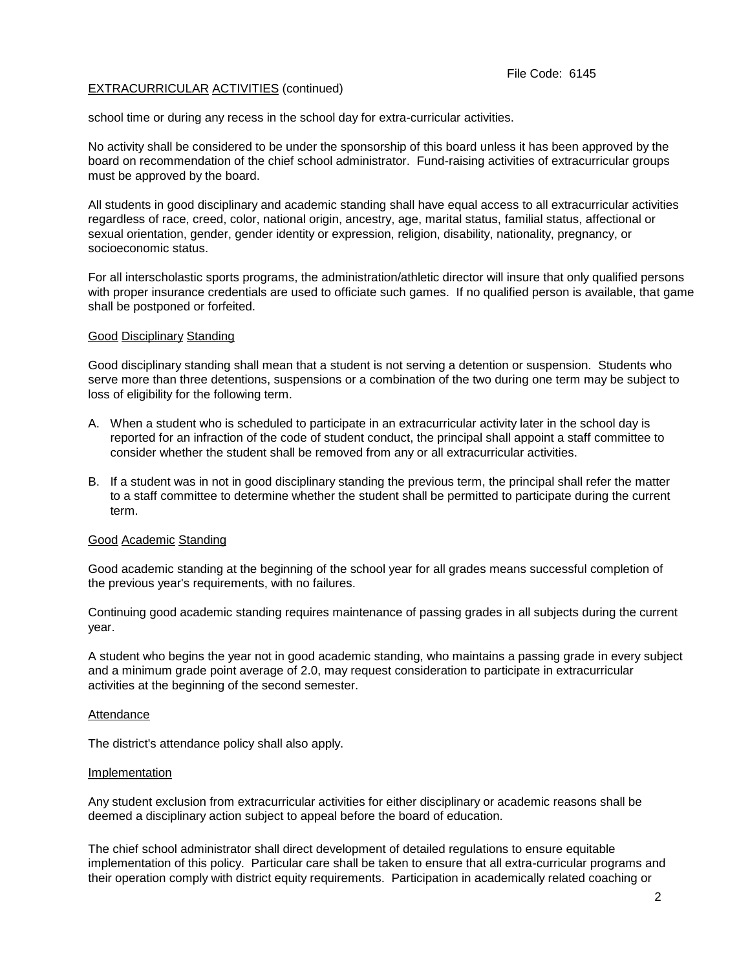## EXTRACURRICULAR ACTIVITIES (continued)

school time or during any recess in the school day for extra-curricular activities.

No activity shall be considered to be under the sponsorship of this board unless it has been approved by the board on recommendation of the chief school administrator. Fund-raising activities of extracurricular groups must be approved by the board.

All students in good disciplinary and academic standing shall have equal access to all extracurricular activities regardless of race, creed, color, national origin, ancestry, age, marital status, familial status, affectional or sexual orientation, gender, gender identity or expression, religion, disability, nationality, pregnancy, or socioeconomic status.

For all interscholastic sports programs, the administration/athletic director will insure that only qualified persons with proper insurance credentials are used to officiate such games. If no qualified person is available, that game shall be postponed or forfeited.

## Good Disciplinary Standing

Good disciplinary standing shall mean that a student is not serving a detention or suspension. Students who serve more than three detentions, suspensions or a combination of the two during one term may be subject to loss of eligibility for the following term.

- A. When a student who is scheduled to participate in an extracurricular activity later in the school day is reported for an infraction of the code of student conduct, the principal shall appoint a staff committee to consider whether the student shall be removed from any or all extracurricular activities.
- B. If a student was in not in good disciplinary standing the previous term, the principal shall refer the matter to a staff committee to determine whether the student shall be permitted to participate during the current term.

## Good Academic Standing

Good academic standing at the beginning of the school year for all grades means successful completion of the previous year's requirements, with no failures.

Continuing good academic standing requires maintenance of passing grades in all subjects during the current year.

A student who begins the year not in good academic standing, who maintains a passing grade in every subject and a minimum grade point average of 2.0, may request consideration to participate in extracurricular activities at the beginning of the second semester.

### Attendance

The district's attendance policy shall also apply.

### Implementation

Any student exclusion from extracurricular activities for either disciplinary or academic reasons shall be deemed a disciplinary action subject to appeal before the board of education.

The chief school administrator shall direct development of detailed regulations to ensure equitable implementation of this policy. Particular care shall be taken to ensure that all extra-curricular programs and their operation comply with district equity requirements. Participation in academically related coaching or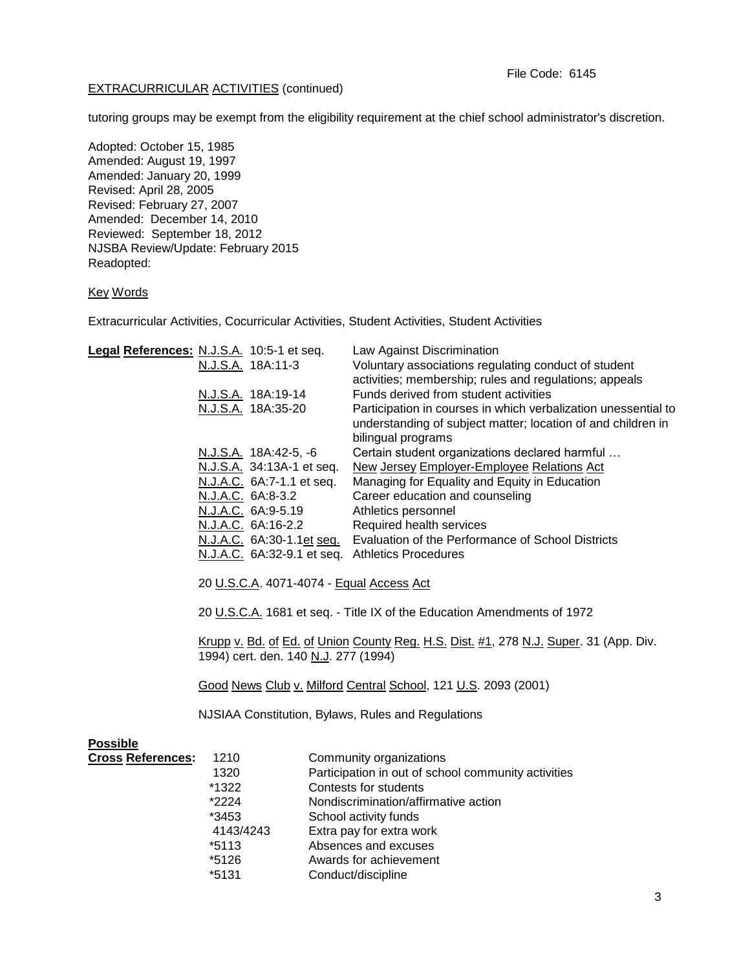## EXTRACURRICULAR ACTIVITIES (continued)

tutoring groups may be exempt from the eligibility requirement at the chief school administrator's discretion.

Adopted: October 15, 1985 Amended: August 19, 1997 Amended: January 20, 1999 Revised: April 28, 2005 Revised: February 27, 2007 Amended: December 14, 2010 Reviewed: September 18, 2012 NJSBA Review/Update: February 2015 Readopted:

## Key Words

Extracurricular Activities, Cocurricular Activities, Student Activities, Student Activities

| Legal References: N.J.S.A. 10:5-1 et seq. |                                                                                                                               |                           | Law Against Discrimination                                     |  |
|-------------------------------------------|-------------------------------------------------------------------------------------------------------------------------------|---------------------------|----------------------------------------------------------------|--|
|                                           |                                                                                                                               | N.J.S.A. 18A:11-3         | Voluntary associations regulating conduct of student           |  |
|                                           |                                                                                                                               |                           | activities; membership; rules and regulations; appeals         |  |
|                                           |                                                                                                                               | N.J.S.A. 18A:19-14        | Funds derived from student activities                          |  |
|                                           |                                                                                                                               | N.J.S.A. 18A:35-20        | Participation in courses in which verbalization unessential to |  |
|                                           |                                                                                                                               |                           | understanding of subject matter; location of and children in   |  |
|                                           |                                                                                                                               |                           | bilingual programs                                             |  |
|                                           |                                                                                                                               | N.J.S.A. 18A:42-5, -6     | Certain student organizations declared harmful                 |  |
|                                           |                                                                                                                               | N.J.S.A. 34:13A-1 et seq. | <b>New Jersey Employer-Employee Relations Act</b>              |  |
|                                           |                                                                                                                               | N.J.A.C. 6A:7-1.1 et seq. | Managing for Equality and Equity in Education                  |  |
|                                           |                                                                                                                               | N.J.A.C. 6A:8-3.2         | Career education and counseling                                |  |
|                                           |                                                                                                                               | N.J.A.C. 6A:9-5.19        | Athletics personnel                                            |  |
|                                           |                                                                                                                               | N.J.A.C. 6A:16-2.2        | Required health services                                       |  |
|                                           |                                                                                                                               | N.J.A.C. 6A:30-1.1et seq. | Evaluation of the Performance of School Districts              |  |
|                                           |                                                                                                                               |                           | N.J.A.C. 6A:32-9.1 et seq. Athletics Procedures                |  |
|                                           |                                                                                                                               |                           |                                                                |  |
|                                           | 20 U.S.C.A. 4071-4074 - Equal Access Act                                                                                      |                           |                                                                |  |
|                                           | 20 U.S.C.A. 1681 et seq. - Title IX of the Education Amendments of 1972                                                       |                           |                                                                |  |
|                                           | Krupp v. Bd. of Ed. of Union County Reg. H.S. Dist. #1, 278 N.J. Super. 31 (App. Div.<br>1994) cert. den. 140 N.J. 277 (1994) |                           |                                                                |  |
|                                           | Good News Club v. Milford Central School, 121 U.S. 2093 (2001)                                                                |                           |                                                                |  |
|                                           | NJSIAA Constitution, Bylaws, Rules and Regulations                                                                            |                           |                                                                |  |
| <b>Possible</b>                           |                                                                                                                               |                           |                                                                |  |
| <b>Cross References:</b>                  | 1210                                                                                                                          |                           | Community organizations                                        |  |
|                                           | 1320                                                                                                                          |                           | Participation in out of school community activities            |  |
|                                           | *1322                                                                                                                         |                           | Contests for students                                          |  |
|                                           | *2224                                                                                                                         |                           | Nondiscrimination/affirmative action                           |  |
|                                           | *3453                                                                                                                         |                           | School activity funds                                          |  |
|                                           | 4143/4243                                                                                                                     |                           | Extra pay for extra work                                       |  |
|                                           | $*5113$                                                                                                                       |                           | Absences and excuses                                           |  |
|                                           | *5126                                                                                                                         |                           | Awards for achievement                                         |  |
|                                           | *5131                                                                                                                         |                           | Conduct/discipline                                             |  |